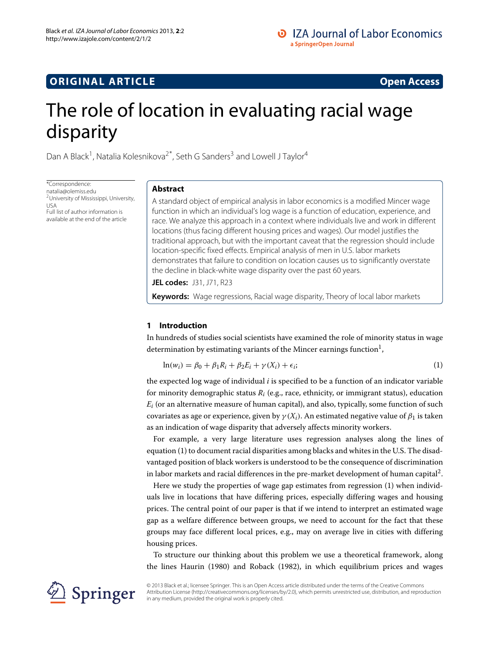# **ORIGINAL ARTICLE OPEN ACCESS**

# The role of location in evaluating racial wage disparity

Dan A Black<sup>1</sup>, Natalia Kolesnikova<sup>2\*</sup>, Seth G Sanders<sup>3</sup> and Lowell J Taylor<sup>4</sup>

\*Correspondence: natalia@olemiss.edu 2University of Mississippi, University, USA Full list of author information is available at the end of the article

# **Abstract**

A standard object of empirical analysis in labor economics is a modified Mincer wage function in which an individual's log wage is a function of education, experience, and race. We analyze this approach in a context where individuals live and work in different locations (thus facing different housing prices and wages). Our model justifies the traditional approach, but with the important caveat that the regression should include location-specific fixed effects. Empirical analysis of men in U.S. labor markets demonstrates that failure to condition on location causes us to significantly overstate the decline in black-white wage disparity over the past 60 years.

**JEL codes:** J31, J71, R23

**Keywords:** Wage regressions, Racial wage disparity, Theory of local labor markets

# **1 Introduction**

In hundreds of studies social scientists have examined the role of minority status in wage determination by estimating variants of the Mincer earnings function<sup>1</sup>,

<span id="page-0-0"></span>
$$
\ln(w_i) = \beta_0 + \beta_1 R_i + \beta_2 E_i + \gamma(X_i) + \epsilon_i; \tag{1}
$$

the expected log wage of individual *i* is specified to be a function of an indicator variable for minority demographic status *Ri* (e.g., race, ethnicity, or immigrant status), education *Ei* (or an alternative measure of human capital), and also, typically, some function of such covariates as age or experience, given by  $\gamma(X_i)$ . An estimated negative value of  $\beta_1$  is taken as an indication of wage disparity that adversely affects minority workers.

For example, a very large literature uses regression analyses along the lines of equation [\(1\)](#page-0-0) to document racial disparities among blacks and whites in the U.S. The disadvantaged position of black workers is understood to be the consequence of discrimination in labor markets and racial differences in the pre-market development of human capital<sup>2</sup>.

Here we study the properties of wage gap estimates from regression [\(1\)](#page-0-0) when individuals live in locations that have differing prices, especially differing wages and housing prices. The central point of our paper is that if we intend to interpret an estimated wage gap as a welfare difference between groups, we need to account for the fact that these groups may face different local prices, e.g., may on average live in cities with differing housing prices.

To structure our thinking about this problem we use a theoretical framework, along the lines Haurin [\(1980\)](#page-17-0) and Roback [\(1982\)](#page-17-1), in which equilibrium prices and wages



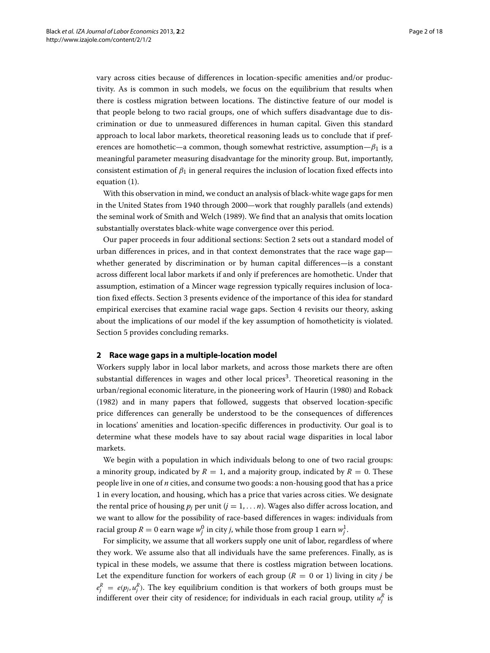vary across cities because of differences in location-specific amenities and/or productivity. As is common in such models, we focus on the equilibrium that results when there is costless migration between locations. The distinctive feature of our model is that people belong to two racial groups, one of which suffers disadvantage due to discrimination or due to unmeasured differences in human capital. Given this standard approach to local labor markets, theoretical reasoning leads us to conclude that if preferences are homothetic—a common, though somewhat restrictive, assumption—*β*<sup>1</sup> is a meaningful parameter measuring disadvantage for the minority group. But, importantly, consistent estimation of  $\beta_1$  in general requires the inclusion of location fixed effects into equation [\(1\)](#page-0-0).

With this observation in mind, we conduct an analysis of black-white wage gaps for men in the United States from 1940 through 2000—work that roughly parallels (and extends) the seminal work of Smith and Welch [\(1989\)](#page-17-2). We find that an analysis that omits location substantially overstates black-white wage convergence over this period.

Our paper proceeds in four additional sections: Section [2](#page-1-0) sets out a standard model of urban differences in prices, and in that context demonstrates that the race wage gap whether generated by discrimination or by human capital differences—is a constant across different local labor markets if and only if preferences are homothetic. Under that assumption, estimation of a Mincer wage regression typically requires inclusion of location fixed effects. Section [3](#page-3-0) presents evidence of the importance of this idea for standard empirical exercises that examine racial wage gaps. Section [4](#page-8-0) revisits our theory, asking about the implications of our model if the key assumption of homotheticity is violated. Section [5](#page-11-0) provides concluding remarks.

#### <span id="page-1-0"></span>**2 Race wage gaps in a multiple-location model**

Workers supply labor in local labor markets, and across those markets there are often substantial differences in wages and other local prices<sup>3</sup>. Theoretical reasoning in the urban/regional economic literature, in the pioneering work of Haurin [\(1980\)](#page-17-0) and Roback [\(1982\)](#page-17-1) and in many papers that followed, suggests that observed location-specific price differences can generally be understood to be the consequences of differences in locations' amenities and location-specific differences in productivity. Our goal is to determine what these models have to say about racial wage disparities in local labor markets.

We begin with a population in which individuals belong to one of two racial groups: a minority group, indicated by  $R = 1$ , and a majority group, indicated by  $R = 0$ . These people live in one of *n* cities, and consume two goods: a non-housing good that has a price 1 in every location, and housing, which has a price that varies across cities. We designate the rental price of housing  $p_j$  per unit  $(j = 1, \ldots, n)$ . Wages also differ across location, and we want to allow for the possibility of race-based differences in wages: individuals from racial group  $R = 0$  earn wage  $w_j^0$  in city *j*, while those from group 1 earn  $w_j^1$ .

For simplicity, we assume that all workers supply one unit of labor, regardless of where they work. We assume also that all individuals have the same preferences. Finally, as is typical in these models, we assume that there is costless migration between locations. Let the expenditure function for workers of each group  $(R = 0 \text{ or } 1)$  living in city *j* be  $e_j^R = e(p_j, u_j^R)$ . The key equilibrium condition is that workers of both groups must be indifferent over their city of residence; for individuals in each racial group, utility  $u_j^R$  is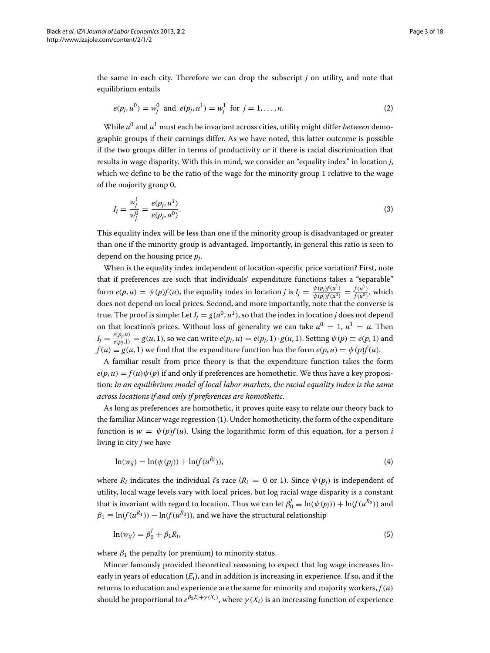the same in each city. Therefore we can drop the subscript *j* on utility, and note that equilibrium entails

$$
e(p_j, u^0) = w_j^0 \text{ and } e(p_j, u^1) = w_j^1 \text{ for } j = 1, ..., n.
$$
 (2)

While  $u^0$  and  $u^1$  must each be invariant across cities, utility might differ *between* demographic groups if their earnings differ. As we have noted, this latter outcome is possible if the two groups differ in terms of productivity or if there is racial discrimination that results in wage disparity. With this in mind, we consider an "equality index" in location *j*, which we define to be the ratio of the wage for the minority group 1 relative to the wage of the majority group 0,

$$
I_j = \frac{w_j^1}{w_j^0} = \frac{e(p_j, u^1)}{e(p_j, u^0)}.
$$
\n(3)

This equality index will be less than one if the minority group is disadvantaged or greater than one if the minority group is advantaged. Importantly, in general this ratio is seen to depend on the housing price *pj*.

When is the equality index independent of location-specific price variation? First, note that if preferences are such that individuals' expenditure functions takes a "separable" form  $e(p, u) = \psi(p)f(u)$ , the equality index in location *j* is  $I_j = \frac{\psi(p_j)f(u^1)}{\psi(p_j)f(u^0)} = \frac{f(u^1)}{f(u^0)}$ , which does not depend on local prices. Second, and more importantly, note that the converse is true. The proof is simple: Let  $I_i = g(u^0, u^1)$ , so that the index in location *j* does not depend on that location's prices. Without loss of generality we can take  $u^0 = 1$ ,  $u^1 = u$ . Then  $I_j = \frac{e(p_j, u)}{e(p_j, 1)} = g(u, 1)$ , so we can write  $e(p_j, u) = e(p_j, 1) \cdot g(u, 1)$ . Setting  $\psi(p) \equiv e(p, 1)$  and  $f(u) \equiv g(u, 1)$  we find that the expenditure function has the form  $e(p, u) = \psi(p)f(u)$ .

A familiar result from price theory is that the expenditure function takes the form  $e(p, u) = f(u)\psi(p)$  if and only if preferences are homothetic. We thus have a key proposition: *In an equilibrium model of local labor markets, the racial equality index is the same across locations if and only if preferences are homothetic.*

As long as preferences are homothetic, it proves quite easy to relate our theory back to the familiar Mincer wage regression [\(1\)](#page-0-0). Under homotheticity, the form of the expenditure function is  $w = \psi(p)f(u)$ . Using the logarithmic form of this equation, for a person *i* living in city *j* we have

$$
\ln(w_{ij}) = \ln(\psi(p_j)) + \ln(f(u^{R_i})),
$$
\n(4)

where  $R_i$  indicates the individual *i*'s race  $(R_i = 0 \text{ or } 1)$ . Since  $\psi(p_i)$  is independent of utility, local wage levels vary with local prices, but log racial wage disparity is a constant that is invariant with regard to location. Thus we can let  $\beta_0^j \equiv \ln(\psi(p_j)) + \ln(f(u^{R_0}))$  and  $\beta_1 \equiv \ln(f(u^{R_1})) - \ln(f(u^{R_0}))$ , and we have the structural relationship

$$
\ln(w_{ij}) = \beta_0^j + \beta_1 R_i,\tag{5}
$$

where  $\beta_1$  the penalty (or premium) to minority status.

Mincer famously provided theoretical reasoning to expect that log wage increases linearly in years of education  $(E_i)$ , and in addition is increasing in experience. If so, and if the returns to education and experience are the same for minority and majority workers,  $f(u)$ should be proportional to  $e^{\beta_2 E_i + \gamma(X_i)}$ , where  $\gamma(X_i)$  is an increasing function of experience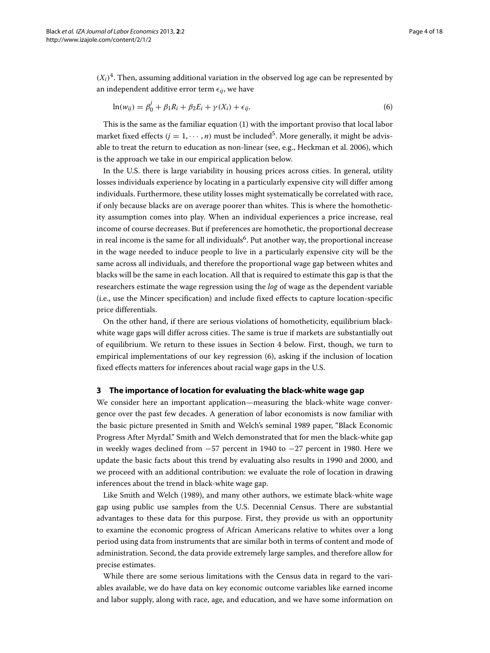$(X_i)^4$ . Then, assuming additional variation in the observed log age can be represented by an independent additive error term  $\epsilon_{ii}$ , we have

<span id="page-3-1"></span>
$$
\ln(w_{ij}) = \beta_0^j + \beta_1 R_i + \beta_2 E_i + \gamma(X_i) + \epsilon_{ij}.
$$
\n(6)

This is the same as the familiar equation [\(1\)](#page-0-0) with the important proviso that local labor market fixed effects  $(j = 1, \dots, n)$  must be included<sup>5</sup>. More generally, it might be advisable to treat the return to education as non-linear (see, e.g., Heckman et al. [2006\)](#page-17-3), which is the approach we take in our empirical application below.

In the U.S. there is large variability in housing prices across cities. In general, utility losses individuals experience by locating in a particularly expensive city will differ among individuals. Furthermore, these utility losses might systematically be correlated with race, if only because blacks are on average poorer than whites. This is where the homotheticity assumption comes into play. When an individual experiences a price increase, real income of course decreases. But if preferences are homothetic, the proportional decrease in real income is the same for all individuals<sup>6</sup>. Put another way, the proportional increase in the wage needed to induce people to live in a particularly expensive city will be the same across all individuals, and therefore the proportional wage gap between whites and blacks will be the same in each location. All that is required to estimate this gap is that the researchers estimate the wage regression using the *log* of wage as the dependent variable (i.e., use the Mincer specification) and include fixed effects to capture location-specific price differentials.

On the other hand, if there are serious violations of homotheticity, equilibrium blackwhite wage gaps will differ across cities. The same is true if markets are substantially out of equilibrium. We return to these issues in Section [4](#page-8-0) below. First, though, we turn to empirical implementations of our key regression [\(6\)](#page-3-1), asking if the inclusion of location fixed effects matters for inferences about racial wage gaps in the U.S.

# <span id="page-3-0"></span>**3 The importance of location for evaluating the black-white wage gap**

We consider here an important application—measuring the black-white wage convergence over the past few decades. A generation of labor economists is now familiar with the basic picture presented in Smith and Welch's seminal 1989 paper, "Black Economic Progress After Myrdal." Smith and Welch demonstrated that for men the black-white gap in weekly wages declined from −57 percent in 1940 to −27 percent in 1980. Here we update the basic facts about this trend by evaluating also results in 1990 and 2000, and we proceed with an additional contribution: we evaluate the role of location in drawing inferences about the trend in black-white wage gap.

Like Smith and Welch [\(1989\)](#page-17-2), and many other authors, we estimate black-white wage gap using public use samples from the U.S. Decennial Census. There are substantial advantages to these data for this purpose. First, they provide us with an opportunity to examine the economic progress of African Americans relative to whites over a long period using data from instruments that are similar both in terms of content and mode of administration. Second, the data provide extremely large samples, and therefore allow for precise estimates.

While there are some serious limitations with the Census data in regard to the variables available, we do have data on key economic outcome variables like earned income and labor supply, along with race, age, and education, and we have some information on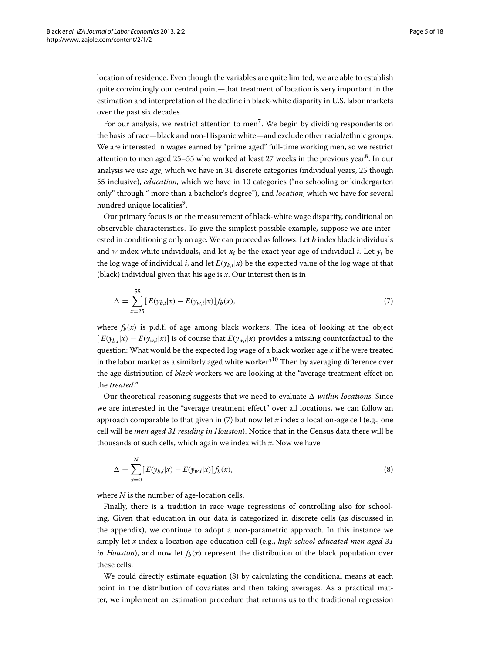location of residence. Even though the variables are quite limited, we are able to establish quite convincingly our central point—that treatment of location is very important in the estimation and interpretation of the decline in black-white disparity in U.S. labor markets over the past six decades.

For our analysis, we restrict attention to men<sup>7</sup>. We begin by dividing respondents on the basis of race—black and non-Hispanic white—and exclude other racial/ethnic groups. We are interested in wages earned by "prime aged" full-time working men, so we restrict attention to men aged 25–55 who worked at least 27 weeks in the previous year<sup>8</sup>. In our analysis we use *age*, which we have in 31 discrete categories (individual years, 25 though 55 inclusive), *education*, which we have in 10 categories ("no schooling or kindergarten only" through " more than a bachelor's degree"), and *location*, which we have for several hundred unique localities<sup>9</sup>.

Our primary focus is on the measurement of black-white wage disparity, conditional on observable characteristics. To give the simplest possible example, suppose we are interested in conditioning only on age. We can proceed as follows. Let *b* index black individuals and *w* index white individuals, and let  $x_i$  be the exact year age of individual *i*. Let  $y_i$  be the log wage of individual *i*, and let  $E(y_{b,i}|x)$  be the expected value of the log wage of that (black) individual given that his age is *x*. Our interest then is in

<span id="page-4-0"></span>
$$
\Delta = \sum_{x=25}^{55} \left[ E(y_{b,i}|x) - E(y_{w,i}|x) \right] f_b(x),\tag{7}
$$

where  $f_b(x)$  is p.d.f. of age among black workers. The idea of looking at the object  $[E(y_{h,i}|x) - E(y_{w,i}|x)]$  is of course that  $E(y_{w,i}|x)$  provides a missing counterfactual to the question: What would be the expected log wage of a black worker age *x* if he were treated in the labor market as a similarly aged white worker?<sup>10</sup> Then by averaging difference over the age distribution of *black* workers we are looking at the "average treatment effect on the *treated.*"

Our theoretical reasoning suggests that we need to evaluate  $\Delta$  *within locations*. Since we are interested in the "average treatment effect" over all locations, we can follow an approach comparable to that given in [\(7\)](#page-4-0) but now let *x* index a location-age cell (e.g., one cell will be *men aged 31 residing in Houston*). Notice that in the Census data there will be thousands of such cells, which again we index with *x*. Now we have

<span id="page-4-1"></span>
$$
\Delta = \sum_{x=0}^{N} [E(y_{b,i}|x) - E(y_{w,i}|x)] f_b(x), \tag{8}
$$

where *N* is the number of age-location cells.

Finally, there is a tradition in race wage regressions of controlling also for schooling. Given that education in our data is categorized in discrete cells (as discussed in the appendix), we continue to adopt a non-parametric approach. In this instance we simply let *x* index a location-age-education cell (e.g., *high-school educated men aged 31 in Houston*), and now let  $f<sub>b</sub>(x)$  represent the distribution of the black population over these cells.

We could directly estimate equation [\(8\)](#page-4-1) by calculating the conditional means at each point in the distribution of covariates and then taking averages. As a practical matter, we implement an estimation procedure that returns us to the traditional regression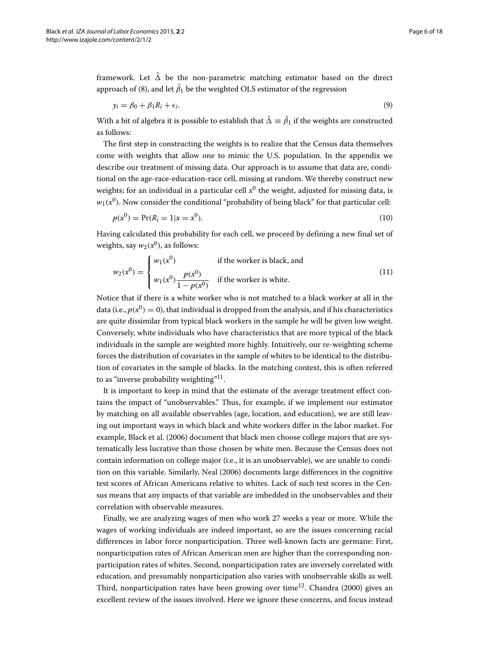framework. Let  $\hat{\Delta}$  be the non-parametric matching estimator based on the direct approach of [\(8\)](#page-4-1), and let  $\beta_1$  be the weighted OLS estimator of the regression

<span id="page-5-0"></span>
$$
y_i = \beta_0 + \beta_1 R_i + \epsilon_i. \tag{9}
$$

With a bit of algebra it is possible to establish that  $\Delta \equiv \beta_1$  if the weights are constructed as follows:

The first step in constructing the weights is to realize that the Census data themselves come with weights that allow one to mimic the U.S. population. In the appendix we describe our treatment of missing data. Our approach is to assume that data are, conditional on the age-race-education-race cell, missing at random. We thereby construct new weights; for an individual in a particular cell  $x^0$  the weight, adjusted for missing data, is  $w_1(x^0)$ . Now consider the conditional "probability of being black" for that particular cell:

$$
p(x^0) = \Pr(R_i = 1 | x = x^0). \tag{10}
$$

Having calculated this probability for each cell, we proceed by defining a new final set of weights, say  $w_2(x^0)$ , as follows:

<span id="page-5-1"></span>
$$
w_2(x^0) = \begin{cases} w_1(x^0) & \text{if the worker is black, and} \\ w_1(x^0) \frac{p(x^0)}{1 - p(x^0)} & \text{if the worker is white.} \end{cases}
$$
(11)

Notice that if there is a white worker who is not matched to a black worker at all in the data (i.e.,  $p(x^0) = 0$ ), that individual is dropped from the analysis, and if his characteristics are quite dissimilar from typical black workers in the sample he will be given low weight. Conversely, white individuals who have characteristics that are more typical of the black individuals in the sample are weighted more highly. Intuitively, our re-weighting scheme forces the distribution of covariates in the sample of whites to be identical to the distribution of covariates in the sample of blacks. In the matching context, this is often referred to as "inverse probability weighting"11.

It is important to keep in mind that the estimate of the average treatment effect contains the impact of "unobservables." Thus, for example, if we implement our estimator by matching on all available observables (age, location, and education), we are still leaving out important ways in which black and white workers differ in the labor market. For example, Black et al. [\(2006\)](#page-17-4) document that black men choose college majors that are systematically less lucrative than those chosen by white men. Because the Census does not contain information on college major (i.e., it is an unobservable), we are unable to condition on this variable. Similarly, Neal [\(2006\)](#page-17-5) documents large differences in the cognitive test scores of African Americans relative to whites. Lack of such test scores in the Census means that any impacts of that variable are imbedded in the unobservables and their correlation with observable measures.

Finally, we are analyzing wages of men who work 27 weeks a year or more. While the wages of working individuals are indeed important, so are the issues concerning racial differences in labor force nonparticipation. Three well-known facts are germane: First, nonparticipation rates of African American men are higher than the corresponding nonparticipation rates of whites. Second, nonparticipation rates are inversely correlated with education, and presumably nonparticipation also varies with unobservable skills as well. Third, nonparticipation rates have been growing over time<sup>12</sup>. Chandra [\(2000\)](#page-17-6) gives an excellent review of the issues involved. Here we ignore these concerns, and focus instead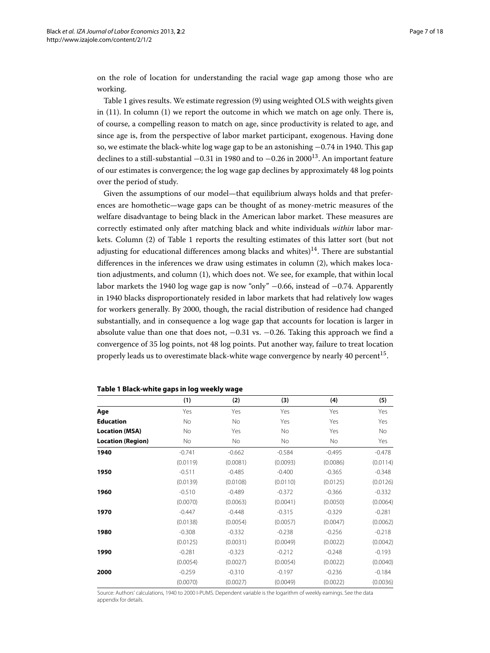on the role of location for understanding the racial wage gap among those who are working.

Table [1](#page-6-0) gives results. We estimate regression [\(9\)](#page-5-0) using weighted OLS with weights given in [\(11\)](#page-5-1). In column (1) we report the outcome in which we match on age only. There is, of course, a compelling reason to match on age, since productivity is related to age, and since age is, from the perspective of labor market participant, exogenous. Having done so, we estimate the black-white log wage gap to be an astonishing −0.74 in 1940. This gap declines to a still-substantial  $-0.31$  in 1980 and to  $-0.26$  in 2000<sup>13</sup>. An important feature of our estimates is convergence; the log wage gap declines by approximately 48 log points over the period of study.

Given the assumptions of our model—that equilibrium always holds and that preferences are homothetic—wage gaps can be thought of as money-metric measures of the welfare disadvantage to being black in the American labor market. These measures are correctly estimated only after matching black and white individuals *within* labor markets. Column (2) of Table [1](#page-6-0) reports the resulting estimates of this latter sort (but not adjusting for educational differences among blacks and whites)<sup>14</sup>. There are substantial differences in the inferences we draw using estimates in column (2), which makes location adjustments, and column (1), which does not. We see, for example, that within local labor markets the 1940 log wage gap is now "only"  $-0.66$ , instead of  $-0.74$ . Apparently in 1940 blacks disproportionately resided in labor markets that had relatively low wages for workers generally. By 2000, though, the racial distribution of residence had changed substantially, and in consequence a log wage gap that accounts for location is larger in absolute value than one that does not,  $-0.31$  vs.  $-0.26$ . Taking this approach we find a convergence of 35 log points, not 48 log points. Put another way, failure to treat location properly leads us to overestimate black-white wage convergence by nearly 40 percent<sup>15</sup>.

<span id="page-6-0"></span>

|                          | (1)      | (2)       | (3)      | (4)      | (5)      |
|--------------------------|----------|-----------|----------|----------|----------|
| Age                      | Yes      | Yes       | Yes      | Yes      | Yes      |
| <b>Education</b>         | No       | <b>No</b> | Yes      | Yes      | Yes      |
| <b>Location (MSA)</b>    | No       | Yes       | No       | Yes      | No       |
| <b>Location (Region)</b> | No       | No        | No       | No       | Yes      |
| 1940                     | $-0.741$ | $-0.662$  | $-0.584$ | $-0.495$ | $-0.478$ |
|                          | (0.0119) | (0.0081)  | (0.0093) | (0.0086) | (0.0114) |
| 1950                     | $-0.511$ | $-0.485$  | $-0.400$ | $-0.365$ | $-0.348$ |
|                          | (0.0139) | (0.0108)  | (0.0110) | (0.0125) | (0.0126) |
| 1960                     | $-0.510$ | $-0.489$  | $-0.372$ | $-0.366$ | $-0.332$ |
|                          | (0.0070) | (0.0063)  | (0.0041) | (0.0050) | (0.0064) |
| 1970                     | $-0.447$ | $-0.448$  | $-0.315$ | $-0.329$ | $-0.281$ |
|                          | (0.0138) | (0.0054)  | (0.0057) | (0.0047) | (0.0062) |
| 1980                     | $-0.308$ | $-0.332$  | $-0.238$ | $-0.256$ | $-0.218$ |
|                          | (0.0125) | (0.0031)  | (0.0049) | (0.0022) | (0.0042) |
| 1990                     | $-0.281$ | $-0.323$  | $-0.212$ | $-0.248$ | $-0.193$ |
|                          | (0.0054) | (0.0027)  | (0.0054) | (0.0022) | (0.0040) |
| 2000                     | $-0.259$ | $-0.310$  | $-0.197$ | $-0.236$ | $-0.184$ |
|                          | (0.0070) | (0.0027)  | (0.0049) | (0.0022) | (0.0036) |

### **Table 1 Black-white gaps in log weekly wage**

Source: Authors' calculations, 1940 to 2000 I-PUMS. Dependent variable is the logarithm of weekly earnings. See the data appendix for details.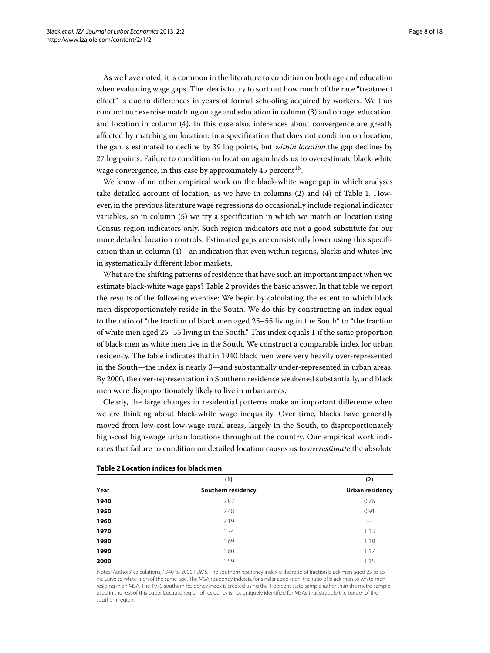As we have noted, it is common in the literature to condition on both age and education when evaluating wage gaps. The idea is to try to sort out how much of the race "treatment effect" is due to differences in years of formal schooling acquired by workers. We thus conduct our exercise matching on age and education in column (3) and on age, education, and location in column (4). In this case also, inferences about convergence are greatly affected by matching on location: In a specification that does not condition on location, the gap is estimated to decline by 39 log points, but *within location* the gap declines by 27 log points. Failure to condition on location again leads us to overestimate black-white wage convergence, in this case by approximately 45 percent<sup>16</sup>.

We know of no other empirical work on the black-white wage gap in which analyses take detailed account of location, as we have in columns (2) and (4) of Table [1.](#page-6-0) However, in the previous literature wage regressions do occasionally include regional indicator variables, so in column (5) we try a specification in which we match on location using Census region indicators only. Such region indicators are not a good substitute for our more detailed location controls. Estimated gaps are consistently lower using this specification than in column (4)—an indication that even within regions, blacks and whites live in systematically different labor markets.

What are the shifting patterns of residence that have such an important impact when we estimate black-white wage gaps? Table [2](#page-7-0) provides the basic answer. In that table we report the results of the following exercise: We begin by calculating the extent to which black men disproportionately reside in the South. We do this by constructing an index equal to the ratio of "the fraction of black men aged 25–55 living in the South" to "the fraction of white men aged 25–55 living in the South." This index equals 1 if the same proportion of black men as white men live in the South. We construct a comparable index for urban residency. The table indicates that in 1940 black men were very heavily over-represented in the South—the index is nearly 3—and substantially under-represented in urban areas. By 2000, the over-representation in Southern residence weakened substantially, and black men were disproportionately likely to live in urban areas.

Clearly, the large changes in residential patterns make an important difference when we are thinking about black-white wage inequality. Over time, blacks have generally moved from low-cost low-wage rural areas, largely in the South, to disproportionately high-cost high-wage urban locations throughout the country. Our empirical work indicates that failure to condition on detailed location causes us to *overestimate* the absolute

<span id="page-7-0"></span>

|      | (1)                | (2)             |  |
|------|--------------------|-----------------|--|
| Year | Southern residency | Urban residency |  |
| 1940 | 2.87               | 0.76            |  |
| 1950 | 2.48               | 0.91            |  |
| 1960 | 2.19               |                 |  |
| 1970 | 1.74               | 1.13            |  |
| 1980 | 1.69               | 1.18            |  |
| 1990 | 1.60               | 1.17            |  |
| 2000 | 1.59               | 1.15            |  |

#### **Table 2 Location indices for black men**

Notes: Authors' calculations, 1940 to 2000 PUMS. The southern residency index is the ratio of fraction black men aged 25 to 55 inclusive to white men of the same age. The MSA residency index is, for similar aged men, the ratio of black men to white men residing in an MSA. The 1970 southern residency index is created using the 1 percent state sample rather than the metro sample used in the rest of this paper because region of residency is not uniquely identified for MSAs that straddle the border of the southern region.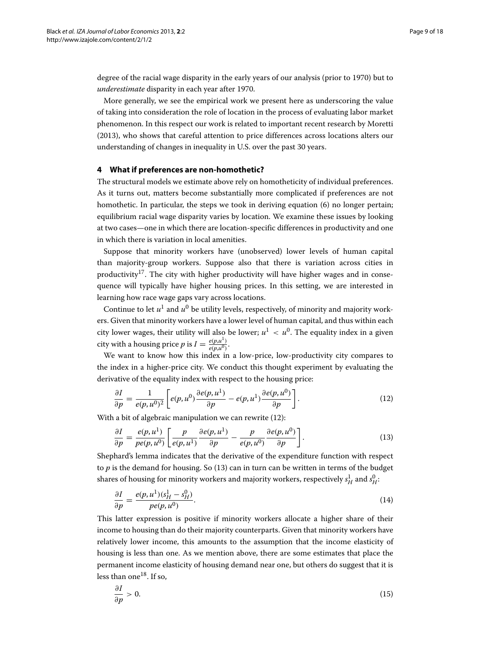degree of the racial wage disparity in the early years of our analysis (prior to 1970) but to *underestimate* disparity in each year after 1970.

More generally, we see the empirical work we present here as underscoring the value of taking into consideration the role of location in the process of evaluating labor market phenomenon. In this respect our work is related to important recent research by Moretti [\(2013\)](#page-17-7), who shows that careful attention to price differences across locations alters our understanding of changes in inequality in U.S. over the past 30 years.

## <span id="page-8-0"></span>**4 What if preferences are non-homothetic?**

The structural models we estimate above rely on homotheticity of individual preferences. As it turns out, matters become substantially more complicated if preferences are not homothetic. In particular, the steps we took in deriving equation [\(6\)](#page-3-1) no longer pertain; equilibrium racial wage disparity varies by location. We examine these issues by looking at two cases—one in which there are location-specific differences in productivity and one in which there is variation in local amenities.

Suppose that minority workers have (unobserved) lower levels of human capital than majority-group workers. Suppose also that there is variation across cities in productivity<sup>17</sup>. The city with higher productivity will have higher wages and in consequence will typically have higher housing prices. In this setting, we are interested in learning how race wage gaps vary across locations.

Continue to let  $u^1$  and  $u^0$  be utility levels, respectively, of minority and majority workers. Given that minority workers have a lower level of human capital, and thus within each city lower wages, their utility will also be lower;  $u^1 \, < \, u^0$ . The equality index in a given city with a housing price *p* is  $I = \frac{e(p,\mu^1)}{e(p,\mu^0)}$ .

We want to know how this index in a low-price, low-productivity city compares to the index in a higher-price city. We conduct this thought experiment by evaluating the derivative of the equality index with respect to the housing price:

$$
\frac{\partial I}{\partial p} = \frac{1}{e(p, u^0)^2} \left[ e(p, u^0) \frac{\partial e(p, u^1)}{\partial p} - e(p, u^1) \frac{\partial e(p, u^0)}{\partial p} \right].
$$
\n(12)

With a bit of algebraic manipulation we can rewrite (12):

<span id="page-8-1"></span>
$$
\frac{\partial I}{\partial p} = \frac{e(p, u^1)}{pe(p, u^0)} \left[ \frac{p}{e(p, u^1)} \frac{\partial e(p, u^1)}{\partial p} - \frac{p}{e(p, u^0)} \frac{\partial e(p, u^0)}{\partial p} \right].
$$
\n(13)

Shephard's lemma indicates that the derivative of the expenditure function with respect to  $p$  is the demand for housing. So [\(13\)](#page-8-1) can in turn can be written in terms of the budget shares of housing for minority workers and majority workers, respectively  $s_H^1$  and  $s_H^0$ :

$$
\frac{\partial I}{\partial p} = \frac{e(p, u^1)(s_H^1 - s_H^0)}{pe(p, u^0)}.\tag{14}
$$

This latter expression is positive if minority workers allocate a higher share of their income to housing than do their majority counterparts. Given that minority workers have relatively lower income, this amounts to the assumption that the income elasticity of housing is less than one. As we mention above, there are some estimates that place the permanent income elasticity of housing demand near one, but others do suggest that it is less than one<sup>18</sup>. If so,

<span id="page-8-2"></span>
$$
\frac{\partial I}{\partial p} > 0. \tag{15}
$$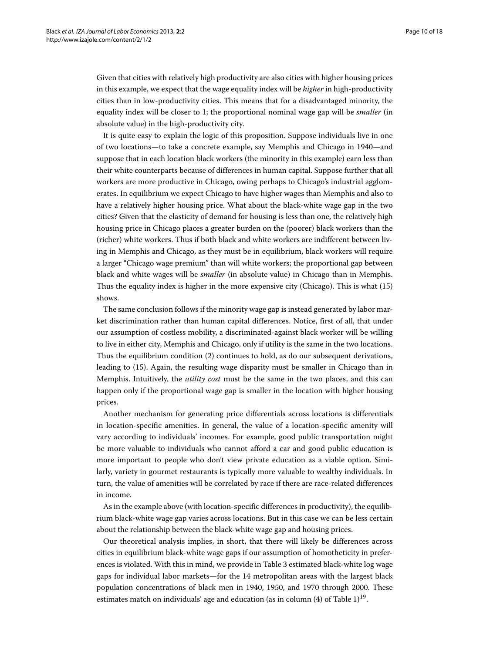Given that cities with relatively high productivity are also cities with higher housing prices in this example, we expect that the wage equality index will be *higher* in high-productivity cities than in low-productivity cities. This means that for a disadvantaged minority, the equality index will be closer to 1; the proportional nominal wage gap will be *smaller* (in absolute value) in the high-productivity city.

It is quite easy to explain the logic of this proposition. Suppose individuals live in one of two locations—to take a concrete example, say Memphis and Chicago in 1940—and suppose that in each location black workers (the minority in this example) earn less than their white counterparts because of differences in human capital. Suppose further that all workers are more productive in Chicago, owing perhaps to Chicago's industrial agglomerates. In equilibrium we expect Chicago to have higher wages than Memphis and also to have a relatively higher housing price. What about the black-white wage gap in the two cities? Given that the elasticity of demand for housing is less than one, the relatively high housing price in Chicago places a greater burden on the (poorer) black workers than the (richer) white workers. Thus if both black and white workers are indifferent between living in Memphis and Chicago, as they must be in equilibrium, black workers will require a larger "Chicago wage premium" than will white workers; the proportional gap between black and white wages will be *smaller* (in absolute value) in Chicago than in Memphis. Thus the equality index is higher in the more expensive city (Chicago). This is what [\(15\)](#page-8-2) shows.

The same conclusion follows if the minority wage gap is instead generated by labor market discrimination rather than human capital differences. Notice, first of all, that under our assumption of costless mobility, a discriminated-against black worker will be willing to live in either city, Memphis and Chicago, only if utility is the same in the two locations. Thus the equilibrium condition (2) continues to hold, as do our subsequent derivations, leading to [\(15\)](#page-8-2). Again, the resulting wage disparity must be smaller in Chicago than in Memphis. Intuitively, the *utility cost* must be the same in the two places, and this can happen only if the proportional wage gap is smaller in the location with higher housing prices.

Another mechanism for generating price differentials across locations is differentials in location-specific amenities. In general, the value of a location-specific amenity will vary according to individuals' incomes. For example, good public transportation might be more valuable to individuals who cannot afford a car and good public education is more important to people who don't view private education as a viable option. Similarly, variety in gourmet restaurants is typically more valuable to wealthy individuals. In turn, the value of amenities will be correlated by race if there are race-related differences in income.

As in the example above (with location-specific differences in productivity), the equilibrium black-white wage gap varies across locations. But in this case we can be less certain about the relationship between the black-white wage gap and housing prices.

Our theoretical analysis implies, in short, that there will likely be differences across cities in equilibrium black-white wage gaps if our assumption of homotheticity in preferences is violated. With this in mind, we provide in Table [3](#page-10-0) estimated black-white log wage gaps for individual labor markets—for the 14 metropolitan areas with the largest black population concentrations of black men in 1940, 1950, and 1970 through 2000. These estimates match on individuals' age and education (as in column (4) of Table  $1$ <sup>19</sup>.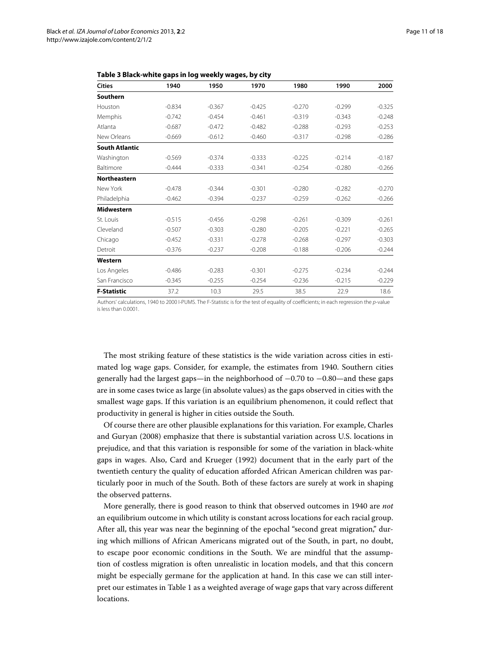<span id="page-10-0"></span>**Table 3 Black-white gaps in log weekly wages, by city**

| <b>Cities</b>         | 1940     | 1950     | 1970     | 1980     | 1990     | 2000     |
|-----------------------|----------|----------|----------|----------|----------|----------|
| <b>Southern</b>       |          |          |          |          |          |          |
| Houston               | $-0.834$ | $-0.367$ | $-0.425$ | $-0.270$ | $-0.299$ | $-0.325$ |
| Memphis               | $-0.742$ | $-0.454$ | $-0.461$ | $-0.319$ | $-0.343$ | $-0.248$ |
| Atlanta               | $-0.687$ | $-0.472$ | $-0.482$ | $-0.288$ | $-0.293$ | $-0.253$ |
| New Orleans           | $-0.669$ | $-0.612$ | $-0.460$ | $-0.317$ | $-0.298$ | $-0.286$ |
| <b>South Atlantic</b> |          |          |          |          |          |          |
| Washington            | $-0.569$ | $-0.374$ | $-0.333$ | $-0.225$ | $-0.214$ | $-0.187$ |
| Baltimore             | $-0.444$ | $-0.333$ | $-0.341$ | $-0.254$ | $-0.280$ | $-0.266$ |
| <b>Northeastern</b>   |          |          |          |          |          |          |
| New York              | $-0.478$ | $-0.344$ | $-0.301$ | $-0.280$ | $-0.282$ | $-0.270$ |
| Philadelphia          | $-0.462$ | $-0.394$ | $-0.237$ | $-0.259$ | $-0.262$ | $-0.266$ |
| <b>Midwestern</b>     |          |          |          |          |          |          |
| St. Louis             | $-0.515$ | $-0.456$ | $-0.298$ | $-0.261$ | $-0.309$ | $-0.261$ |
| Cleveland             | $-0.507$ | $-0.303$ | $-0.280$ | $-0.205$ | $-0.221$ | $-0.265$ |
| Chicago               | $-0.452$ | $-0.331$ | $-0.278$ | $-0.268$ | $-0.297$ | $-0.303$ |
| Detroit               | $-0.376$ | $-0.237$ | $-0.208$ | $-0.188$ | $-0.206$ | $-0.244$ |
| Western               |          |          |          |          |          |          |
| Los Angeles           | $-0.486$ | $-0.283$ | $-0.301$ | $-0.275$ | $-0.234$ | $-0.244$ |
| San Francisco         | $-0.345$ | $-0.255$ | $-0.254$ | $-0.236$ | $-0.215$ | $-0.229$ |
| <b>F-Statistic</b>    | 37.2     | 10.3     | 29.5     | 38.5     | 22.9     | 18.6     |

Authors' calculations, 1940 to 2000 I-PUMS. The F-Statistic is for the test of equality of coefficients; in each regression the p-value is less than 0.0001.

The most striking feature of these statistics is the wide variation across cities in estimated log wage gaps. Consider, for example, the estimates from 1940. Southern cities generally had the largest gaps—in the neighborhood of −0.70 to −0.80—and these gaps are in some cases twice as large (in absolute values) as the gaps observed in cities with the smallest wage gaps. If this variation is an equilibrium phenomenon, it could reflect that productivity in general is higher in cities outside the South.

Of course there are other plausible explanations for this variation. For example, Charles and Guryan [\(2008\)](#page-17-8) emphasize that there is substantial variation across U.S. locations in prejudice, and that this variation is responsible for some of the variation in black-white gaps in wages. Also, Card and Krueger [\(1992\)](#page-17-9) document that in the early part of the twentieth century the quality of education afforded African American children was particularly poor in much of the South. Both of these factors are surely at work in shaping the observed patterns.

More generally, there is good reason to think that observed outcomes in 1940 are *not* an equilibrium outcome in which utility is constant across locations for each racial group. After all, this year was near the beginning of the epochal "second great migration," during which millions of African Americans migrated out of the South, in part, no doubt, to escape poor economic conditions in the South. We are mindful that the assumption of costless migration is often unrealistic in location models, and that this concern might be especially germane for the application at hand. In this case we can still interpret our estimates in Table [1](#page-6-0) as a weighted average of wage gaps that vary across different locations.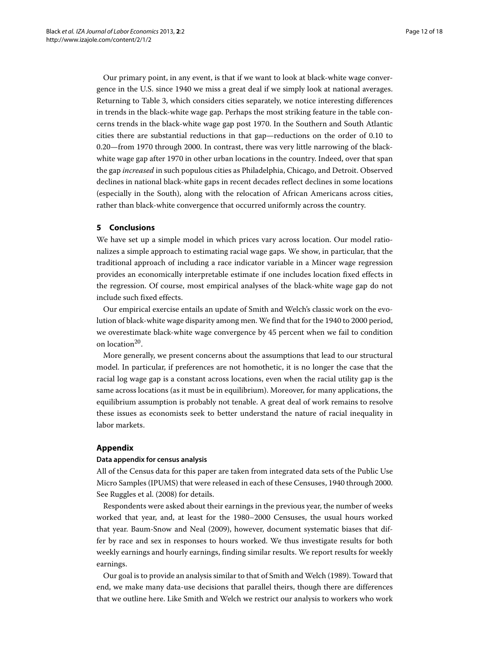Our primary point, in any event, is that if we want to look at black-white wage convergence in the U.S. since 1940 we miss a great deal if we simply look at national averages. Returning to Table [3,](#page-10-0) which considers cities separately, we notice interesting differences in trends in the black-white wage gap. Perhaps the most striking feature in the table concerns trends in the black-white wage gap post 1970. In the Southern and South Atlantic cities there are substantial reductions in that gap—reductions on the order of 0.10 to 0.20—from 1970 through 2000. In contrast, there was very little narrowing of the blackwhite wage gap after 1970 in other urban locations in the country. Indeed, over that span the gap *increased* in such populous cities as Philadelphia, Chicago, and Detroit. Observed declines in national black-white gaps in recent decades reflect declines in some locations (especially in the South), along with the relocation of African Americans across cities, rather than black-white convergence that occurred uniformly across the country.

### <span id="page-11-0"></span>**5 Conclusions**

We have set up a simple model in which prices vary across location. Our model rationalizes a simple approach to estimating racial wage gaps. We show, in particular, that the traditional approach of including a race indicator variable in a Mincer wage regression provides an economically interpretable estimate if one includes location fixed effects in the regression. Of course, most empirical analyses of the black-white wage gap do not include such fixed effects.

Our empirical exercise entails an update of Smith and Welch's classic work on the evolution of black-white wage disparity among men. We find that for the 1940 to 2000 period, we overestimate black-white wage convergence by 45 percent when we fail to condition on location<sup>20</sup>.

More generally, we present concerns about the assumptions that lead to our structural model. In particular, if preferences are not homothetic, it is no longer the case that the racial log wage gap is a constant across locations, even when the racial utility gap is the same across locations (as it must be in equilibrium). Moreover, for many applications, the equilibrium assumption is probably not tenable. A great deal of work remains to resolve these issues as economists seek to better understand the nature of racial inequality in labor markets.

# **Appendix**

#### **Data appendix for census analysis**

All of the Census data for this paper are taken from integrated data sets of the Public Use Micro Samples (IPUMS) that were released in each of these Censuses, 1940 through 2000. See Ruggles et al. [\(2008\)](#page-17-10) for details.

Respondents were asked about their earnings in the previous year, the number of weeks worked that year, and, at least for the 1980–2000 Censuses, the usual hours worked that year. Baum-Snow and Neal [\(2009\)](#page-17-11), however, document systematic biases that differ by race and sex in responses to hours worked. We thus investigate results for both weekly earnings and hourly earnings, finding similar results. We report results for weekly earnings.

Our goal is to provide an analysis similar to that of Smith and Welch [\(1989\)](#page-17-2). Toward that end, we make many data-use decisions that parallel theirs, though there are differences that we outline here. Like Smith and Welch we restrict our analysis to workers who work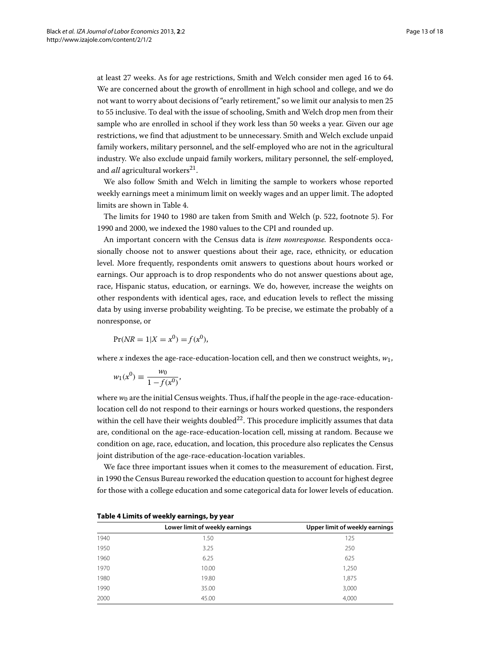at least 27 weeks. As for age restrictions, Smith and Welch consider men aged 16 to 64. We are concerned about the growth of enrollment in high school and college, and we do not want to worry about decisions of "early retirement," so we limit our analysis to men 25 to 55 inclusive. To deal with the issue of schooling, Smith and Welch drop men from their sample who are enrolled in school if they work less than 50 weeks a year. Given our age restrictions, we find that adjustment to be unnecessary. Smith and Welch exclude unpaid family workers, military personnel, and the self-employed who are not in the agricultural industry. We also exclude unpaid family workers, military personnel, the self-employed, and *all* agricultural workers<sup>21</sup>.

We also follow Smith and Welch in limiting the sample to workers whose reported weekly earnings meet a minimum limit on weekly wages and an upper limit. The adopted limits are shown in Table [4.](#page-12-0)

The limits for 1940 to 1980 are taken from Smith and Welch (p. 522, footnote 5). For 1990 and 2000, we indexed the 1980 values to the CPI and rounded up.

An important concern with the Census data is *item nonresponse.* Respondents occasionally choose not to answer questions about their age, race, ethnicity, or education level. More frequently, respondents omit answers to questions about hours worked or earnings. Our approach is to drop respondents who do not answer questions about age, race, Hispanic status, education, or earnings. We do, however, increase the weights on other respondents with identical ages, race, and education levels to reflect the missing data by using inverse probability weighting. To be precise, we estimate the probably of a nonresponse, or

$$
Pr(NR = 1 | X = x^0) = f(x^0),
$$

where *x* indexes the age-race-education-location cell, and then we construct weights,  $w_1$ ,

$$
w_1(x^0) \equiv \frac{w_0}{1 - f(x^0)},
$$

where  $w_0$  are the initial Census weights. Thus, if half the people in the age-race-educationlocation cell do not respond to their earnings or hours worked questions, the responders within the cell have their weights doubled<sup>22</sup>. This procedure implicitly assumes that data are, conditional on the age-race-education-location cell, missing at random. Because we condition on age, race, education, and location, this procedure also replicates the Census joint distribution of the age-race-education-location variables.

We face three important issues when it comes to the measurement of education. First, in 1990 the Census Bureau reworked the education question to account for highest degree for those with a college education and some categorical data for lower levels of education.

|      | Lower limit of weekly earnings | Upper limit of weekly earnings |
|------|--------------------------------|--------------------------------|
| 1940 | 1.50                           | 125                            |
| 1950 | 3.25                           | 250                            |
| 1960 | 6.25                           | 625                            |
| 1970 | 10.00                          | 1,250                          |
| 1980 | 19.80                          | 1,875                          |
| 1990 | 35.00                          | 3,000                          |
| 2000 | 45.00                          | 4,000                          |

<span id="page-12-0"></span>**Table 4 Limits of weekly earnings, by year**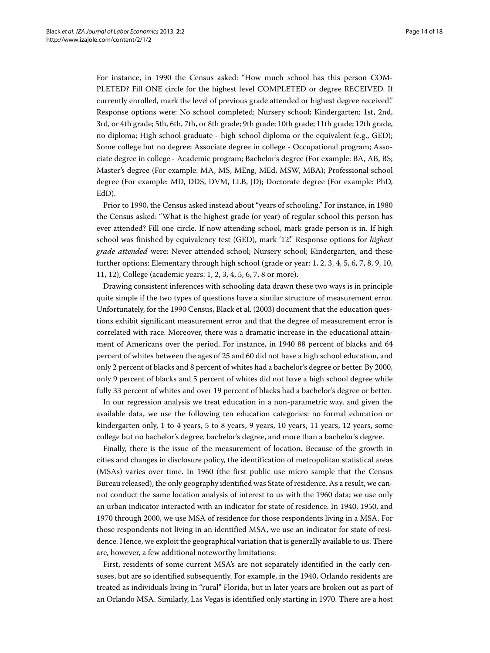For instance, in 1990 the Census asked: "How much school has this person COM-PLETED? Fill ONE circle for the highest level COMPLETED or degree RECEIVED. If currently enrolled, mark the level of previous grade attended or highest degree received." Response options were: No school completed; Nursery school; Kindergarten; 1st, 2nd, 3rd, or 4th grade; 5th, 6th, 7th, or 8th grade; 9th grade; 10th grade; 11th grade; 12th grade, no diploma; High school graduate - high school diploma or the equivalent (e.g., GED); Some college but no degree; Associate degree in college - Occupational program; Associate degree in college - Academic program; Bachelor's degree (For example: BA, AB, BS; Master's degree (For example: MA, MS, MEng, MEd, MSW, MBA); Professional school degree (For example: MD, DDS, DVM, LLB, JD); Doctorate degree (For example: PhD, EdD).

Prior to 1990, the Census asked instead about "years of schooling." For instance, in 1980 the Census asked: "What is the highest grade (or year) of regular school this person has ever attended? Fill one circle. If now attending school, mark grade person is in. If high school was finished by equivalency test (GED), mark '12'." Response options for *highest grade attended* were: Never attended school; Nursery school; Kindergarten, and these further options: Elementary through high school (grade or year: 1, 2, 3, 4, 5, 6, 7, 8, 9, 10, 11, 12); College (academic years: 1, 2, 3, 4, 5, 6, 7, 8 or more).

Drawing consistent inferences with schooling data drawn these two ways is in principle quite simple if the two types of questions have a similar structure of measurement error. Unfortunately, for the 1990 Census, Black et al. [\(2003\)](#page-17-12) document that the education questions exhibit significant measurement error and that the degree of measurement error is correlated with race. Moreover, there was a dramatic increase in the educational attainment of Americans over the period. For instance, in 1940 88 percent of blacks and 64 percent of whites between the ages of 25 and 60 did not have a high school education, and only 2 percent of blacks and 8 percent of whites had a bachelor's degree or better. By 2000, only 9 percent of blacks and 5 percent of whites did not have a high school degree while fully 33 percent of whites and over 19 percent of blacks had a bachelor's degree or better.

In our regression analysis we treat education in a non-parametric way, and given the available data, we use the following ten education categories: no formal education or kindergarten only, 1 to 4 years, 5 to 8 years, 9 years, 10 years, 11 years, 12 years, some college but no bachelor's degree, bachelor's degree, and more than a bachelor's degree.

Finally, there is the issue of the measurement of location. Because of the growth in cities and changes in disclosure policy, the identification of metropolitan statistical areas (MSAs) varies over time. In 1960 (the first public use micro sample that the Census Bureau released), the only geography identified was State of residence. As a result, we cannot conduct the same location analysis of interest to us with the 1960 data; we use only an urban indicator interacted with an indicator for state of residence. In 1940, 1950, and 1970 through 2000, we use MSA of residence for those respondents living in a MSA. For those respondents not living in an identified MSA, we use an indicator for state of residence. Hence, we exploit the geographical variation that is generally available to us. There are, however, a few additional noteworthy limitations:

First, residents of some current MSA's are not separately identified in the early censuses, but are so identified subsequently. For example, in the 1940, Orlando residents are treated as individuals living in "rural" Florida, but in later years are broken out as part of an Orlando MSA. Similarly, Las Vegas is identified only starting in 1970. There are a host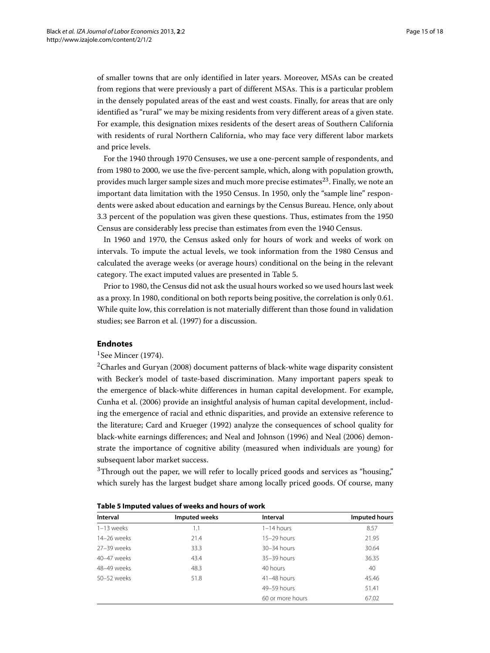of smaller towns that are only identified in later years. Moreover, MSAs can be created from regions that were previously a part of different MSAs. This is a particular problem in the densely populated areas of the east and west coasts. Finally, for areas that are only identified as "rural" we may be mixing residents from very different areas of a given state. For example, this designation mixes residents of the desert areas of Southern California with residents of rural Northern California, who may face very different labor markets and price levels.

For the 1940 through 1970 Censuses, we use a one-percent sample of respondents, and from 1980 to 2000, we use the five-percent sample, which, along with population growth, provides much larger sample sizes and much more precise estimates<sup>23</sup>. Finally, we note an important data limitation with the 1950 Census. In 1950, only the "sample line" respondents were asked about education and earnings by the Census Bureau. Hence, only about 3.3 percent of the population was given these questions. Thus, estimates from the 1950 Census are considerably less precise than estimates from even the 1940 Census.

In 1960 and 1970, the Census asked only for hours of work and weeks of work on intervals. To impute the actual levels, we took information from the 1980 Census and calculated the average weeks (or average hours) conditional on the being in the relevant category. The exact imputed values are presented in Table [5.](#page-14-0)

Prior to 1980, the Census did not ask the usual hours worked so we used hours last week as a proxy. In 1980, conditional on both reports being positive, the correlation is only 0.61. While quite low, this correlation is not materially different than those found in validation studies; see Barron et al. [\(1997\)](#page-17-13) for a discussion.

### **Endnotes**

# $1$ See Mincer [\(1974\)](#page-17-14).

 $2$ Charles and Guryan [\(2008\)](#page-17-8) document patterns of black-white wage disparity consistent with Becker's model of taste-based discrimination. Many important papers speak to the emergence of black-white differences in human capital development. For example, Cunha et al. [\(2006\)](#page-17-15) provide an insightful analysis of human capital development, including the emergence of racial and ethnic disparities, and provide an extensive reference to the literature; Card and Krueger [\(1992\)](#page-17-9) analyze the consequences of school quality for black-white earnings differences; and Neal and Johnson [\(1996\)](#page-17-16) and Neal [\(2006\)](#page-17-5) demonstrate the importance of cognitive ability (measured when individuals are young) for subsequent labor market success.

 $3$ Through out the paper, we will refer to locally priced goods and services as "housing," which surely has the largest budget share among locally priced goods. Of course, many

<span id="page-14-0"></span>

| <b>Interval</b> | Imputed weeks | Interval         | <b>Imputed hours</b> |
|-----------------|---------------|------------------|----------------------|
| $1-13$ weeks    | 1.1           | $1-14$ hours     | 8.57                 |
| 14-26 weeks     | 21.4          | $15-29$ hours    | 21.95                |
| 27-39 weeks     | 33.3          | $30-34$ hours    | 30.64                |
| 40-47 weeks     | 43.4          | $35-39$ hours    | 36.35                |
| 48-49 weeks     | 48.3          | 40 hours         | 40                   |
| 50-52 weeks     | 51.8          | $41-48$ hours    | 45.46                |
|                 |               | 49-59 hours      | 51.41                |
|                 |               | 60 or more hours | 67.02                |

**Table 5 Imputed values of weeks and hours of work**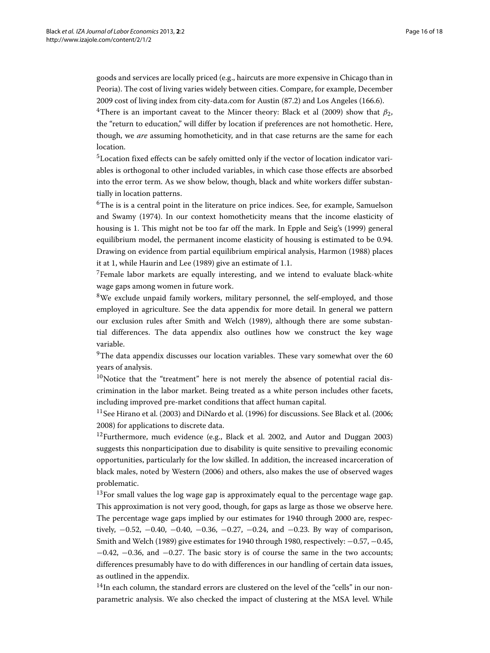goods and services are locally priced (e.g., haircuts are more expensive in Chicago than in Peoria). The cost of living varies widely between cities. Compare, for example, December 2009 cost of living index from city-data.com for Austin (87.2) and Los Angeles (166.6).

<sup>4</sup>There is an important caveat to the Mincer theory: Black et al [\(2009\)](#page-17-17) show that  $\beta_2$ , the "return to education," will differ by location if preferences are not homothetic. Here, though, we *are* assuming homotheticity, and in that case returns are the same for each location.

5Location fixed effects can be safely omitted only if the vector of location indicator variables is orthogonal to other included variables, in which case those effects are absorbed into the error term. As we show below, though, black and white workers differ substantially in location patterns.

<sup>6</sup>The is is a central point in the literature on price indices. See, for example, Samuelson and Swamy [\(1974\)](#page-17-18). In our context homotheticity means that the income elasticity of housing is 1. This might not be too far off the mark. In Epple and Seig's [\(1999\)](#page-17-19) general equilibrium model, the permanent income elasticity of housing is estimated to be 0.94. Drawing on evidence from partial equilibrium empirical analysis, Harmon [\(1988\)](#page-17-20) places it at 1, while Haurin and Lee [\(1989\)](#page-17-21) give an estimate of 1.1.

7Female labor markets are equally interesting, and we intend to evaluate black-white wage gaps among women in future work.

<sup>8</sup>We exclude unpaid family workers, military personnel, the self-employed, and those employed in agriculture. See the data appendix for more detail. In general we pattern our exclusion rules after Smith and Welch [\(1989\)](#page-17-2), although there are some substantial differences. The data appendix also outlines how we construct the key wage variable.

 $9$ The data appendix discusses our location variables. These vary somewhat over the 60 years of analysis.

 $10$ Notice that the "treatment" here is not merely the absence of potential racial discrimination in the labor market. Being treated as a white person includes other facets, including improved pre-market conditions that affect human capital.

11See Hirano et al. [\(2003\)](#page-17-22) and DiNardo et al. [\(1996\)](#page-17-23) for discussions. See Black et al. [\(2006;](#page-17-4) [2008\)](#page-17-24) for applications to discrete data.

<sup>12</sup>Furthermore, much evidence (e.g., Black et al. [2002,](#page-17-25) and Autor and Duggan [2003\)](#page-17-26) suggests this nonparticipation due to disability is quite sensitive to prevailing economic opportunities, particularly for the low skilled. In addition, the increased incarceration of black males, noted by Western [\(2006\)](#page-17-27) and others, also makes the use of observed wages problematic.

 $13$  For small values the log wage gap is approximately equal to the percentage wage gap. This approximation is not very good, though, for gaps as large as those we observe here. The percentage wage gaps implied by our estimates for 1940 through 2000 are, respectively, −0.52, −0.40, −0.40, −0.36, −0.27, −0.24, and −0.23. By way of comparison, Smith and Welch [\(1989\)](#page-17-2) give estimates for 1940 through 1980, respectively: −0.57, −0.45,  $-0.42$ ,  $-0.36$ , and  $-0.27$ . The basic story is of course the same in the two accounts; differences presumably have to do with differences in our handling of certain data issues, as outlined in the appendix.

<sup>14</sup>In each column, the standard errors are clustered on the level of the "cells" in our nonparametric analysis. We also checked the impact of clustering at the MSA level. While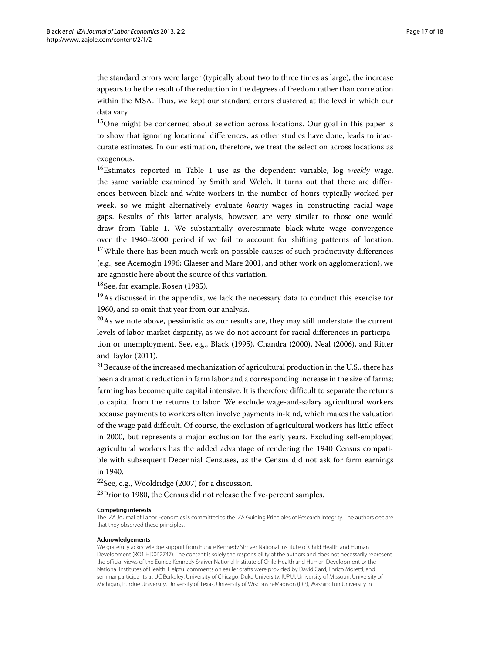the standard errors were larger (typically about two to three times as large), the increase appears to be the result of the reduction in the degrees of freedom rather than correlation within the MSA. Thus, we kept our standard errors clustered at the level in which our data vary.

<sup>15</sup>One might be concerned about selection across locations. Our goal in this paper is to show that ignoring locational differences, as other studies have done, leads to inaccurate estimates. In our estimation, therefore, we treat the selection across locations as exogenous.

16Estimates reported in Table [1](#page-6-0) use as the dependent variable, log *weekly* wage, the same variable examined by Smith and Welch. It turns out that there are differences between black and white workers in the number of hours typically worked per week, so we might alternatively evaluate *hourly* wages in constructing racial wage gaps. Results of this latter analysis, however, are very similar to those one would draw from Table [1.](#page-6-0) We substantially overestimate black-white wage convergence over the 1940–2000 period if we fail to account for shifting patterns of location.  $17$ While there has been much work on possible causes of such productivity differences (e.g., see Acemoglu [1996;](#page-17-28) Glaeser and Mare [2001,](#page-17-29) and other work on agglomeration), we are agnostic here about the source of this variation.

<sup>18</sup>See, for example, Rosen [\(1985\)](#page-17-30).

 $19$ As discussed in the appendix, we lack the necessary data to conduct this exercise for 1960, and so omit that year from our analysis.

 $^{20}$ As we note above, pessimistic as our results are, they may still understate the current levels of labor market disparity, as we do not account for racial differences in participation or unemployment. See, e.g., Black [\(1995\)](#page-17-31), Chandra [\(2000\)](#page-17-6), Neal [\(2006\)](#page-17-5), and Ritter and Taylor [\(2011\)](#page-17-32).

 $21$ Because of the increased mechanization of agricultural production in the U.S., there has been a dramatic reduction in farm labor and a corresponding increase in the size of farms; farming has become quite capital intensive. It is therefore difficult to separate the returns to capital from the returns to labor. We exclude wage-and-salary agricultural workers because payments to workers often involve payments in-kind, which makes the valuation of the wage paid difficult. Of course, the exclusion of agricultural workers has little effect in 2000, but represents a major exclusion for the early years. Excluding self-employed agricultural workers has the added advantage of rendering the 1940 Census compatible with subsequent Decennial Censuses, as the Census did not ask for farm earnings in 1940.

22See, e.g., Wooldridge [\(2007\)](#page-17-33) for a discussion.

<sup>23</sup>Prior to 1980, the Census did not release the five-percent samples.

#### **Competing interests**

The IZA Journal of Labor Economics is committed to the IZA Guiding Principles of Research Integrity. The authors declare that they observed these principles.

#### **Acknowledgements**

We gratefully acknowledge support from Eunice Kennedy Shriver National Institute of Child Health and Human Development (RO1 HD062747). The content is solely the responsibility of the authors and does not necessarily represent the official views of the Eunice Kennedy Shriver National Institute of Child Health and Human Development or the National Institutes of Health. Helpful comments on earlier drafts were provided by David Card, Enrico Moretti, and seminar participants at UC Berkeley, University of Chicago, Duke University, IUPUI, University of Missouri, University of Michigan, Purdue University, University of Texas, University of Wisconsin-Madison (IRP), Washington University in